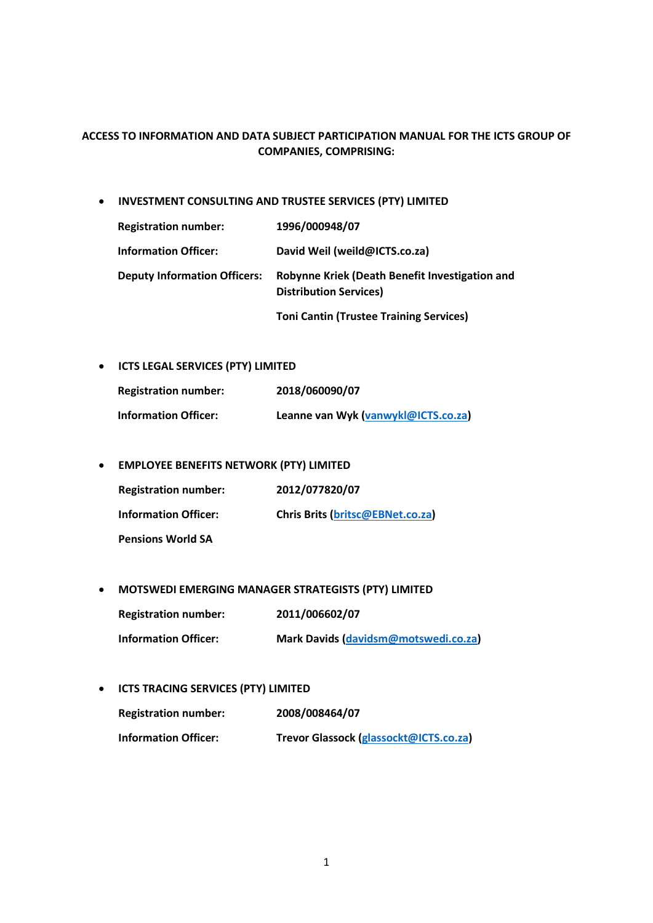# **ACCESS TO INFORMATION AND DATA SUBJECT PARTICIPATION MANUAL FOR THE ICTS GROUP OF COMPANIES, COMPRISING:**

• **INVESTMENT CONSULTING AND TRUSTEE SERVICES (PTY) LIMITED**

| <b>Registration number:</b>         | 1996/000948/07                                                                  |
|-------------------------------------|---------------------------------------------------------------------------------|
| <b>Information Officer:</b>         | David Weil (weild@ICTS.co.za)                                                   |
| <b>Deputy Information Officers:</b> | Robynne Kriek (Death Benefit Investigation and<br><b>Distribution Services)</b> |

**Toni Cantin (Trustee Training Services)**

• **ICTS LEGAL SERVICES (PTY) LIMITED**

| <b>Registration number:</b> | 2018/060090/07                      |
|-----------------------------|-------------------------------------|
| <b>Information Officer:</b> | Leanne van Wyk (vanwykl@ICTS.co.za) |

• **EMPLOYEE BENEFITS NETWORK (PTY) LIMITED**

| <b>Registration number:</b> | 2012/077820/07                          |
|-----------------------------|-----------------------------------------|
| <b>Information Officer:</b> | <b>Chris Brits (britsc@EBNet.co.za)</b> |
| <b>Pensions World SA</b>    |                                         |

• **MOTSWEDI EMERGING MANAGER STRATEGISTS (PTY) LIMITED**

**Registration number: 2011/006602/07**

**Information Officer: Mark Davids [\(davidsm@motswedi.co.za\)](mailto:davidsm@motswedi.co.za)**

• **ICTS TRACING SERVICES (PTY) LIMITED**

| <b>Registration number:</b> | 2008/008464/07                         |
|-----------------------------|----------------------------------------|
| <b>Information Officer:</b> | Trevor Glassock (glassockt@ICTS.co.za) |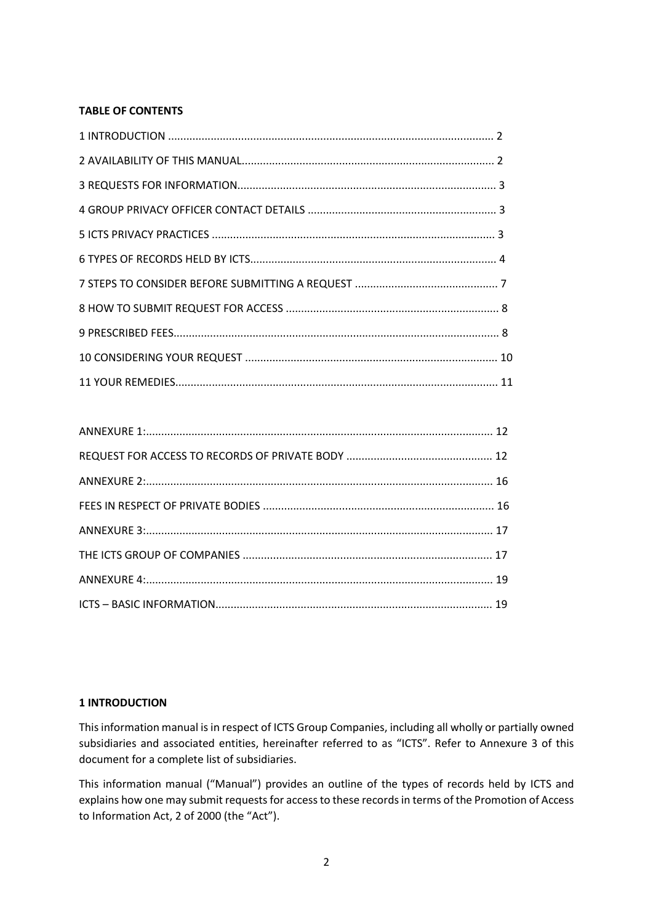# **TABLE OF CONTENTS**

### **1 INTRODUCTION**

This information manual is in respect of ICTS Group Companies, including all wholly or partially owned subsidiaries and associated entities, hereinafter referred to as "ICTS". Refer to Annexure 3 of this document for a complete list of subsidiaries.

This information manual ("Manual") provides an outline of the types of records held by ICTS and explains how one may submit requests for access to these records in terms of the Promotion of Access to Information Act, 2 of 2000 (the "Act").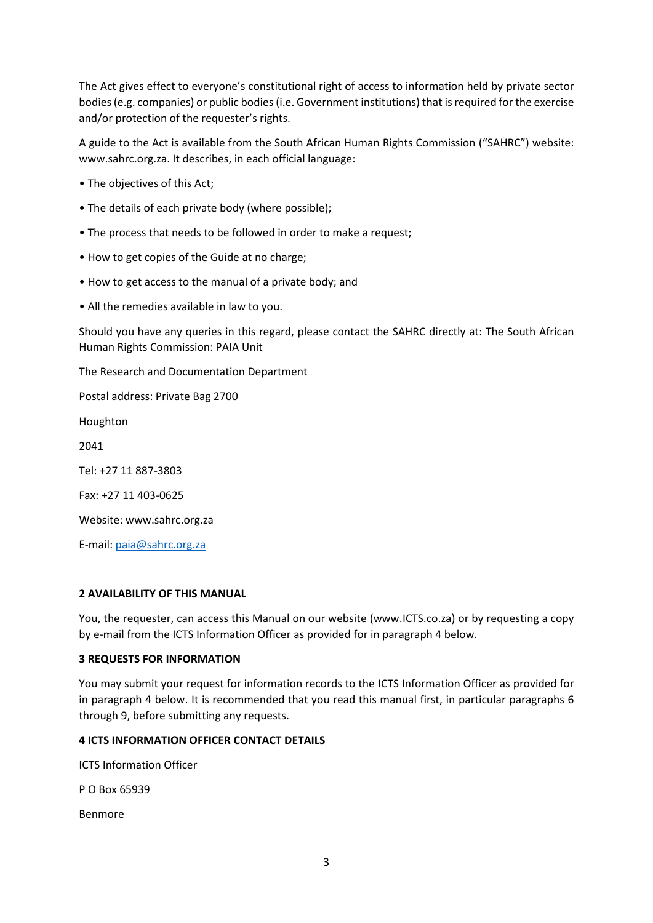The Act gives effect to everyone's constitutional right of access to information held by private sector bodies (e.g. companies) or public bodies (i.e. Government institutions) that is required for the exercise and/or protection of the requester's rights.

A guide to the Act is available from the South African Human Rights Commission ("SAHRC") website: www.sahrc.org.za. It describes, in each official language:

- The objectives of this Act;
- The details of each private body (where possible);
- The process that needs to be followed in order to make a request;
- How to get copies of the Guide at no charge;
- How to get access to the manual of a private body; and
- All the remedies available in law to you.

Should you have any queries in this regard, please contact the SAHRC directly at: The South African Human Rights Commission: PAIA Unit

The Research and Documentation Department

Postal address: Private Bag 2700

Houghton

2041

Tel: +27 11 887-3803

Fax: +27 11 403-0625

Website: www.sahrc.org.za

E-mail: [paia@sahrc.org.za](mailto:paia@sahrc.org.za)

### **2 AVAILABILITY OF THIS MANUAL**

You, the requester, can access this Manual on our website (www.ICTS.co.za) or by requesting a copy by e-mail from the ICTS Information Officer as provided for in paragraph 4 below.

### **3 REQUESTS FOR INFORMATION**

You may submit your request for information records to the ICTS Information Officer as provided for in paragraph 4 below. It is recommended that you read this manual first, in particular paragraphs 6 through 9, before submitting any requests.

### **4 ICTS INFORMATION OFFICER CONTACT DETAILS**

ICTS Information Officer

P O Box 65939

Benmore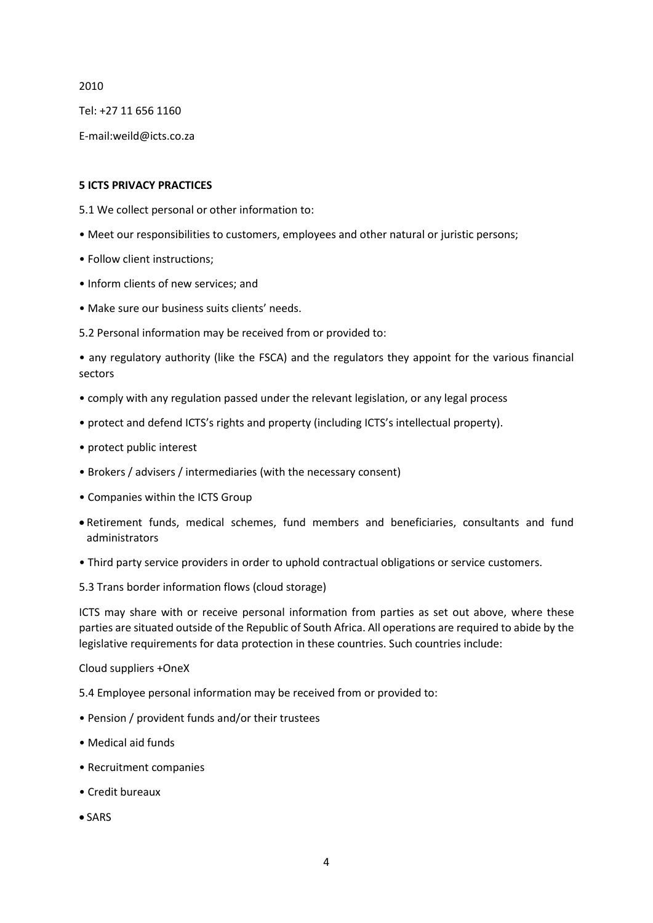2010

Tel: +27 11 656 1160

E-mail:weild@icts.co.za

### **5 ICTS PRIVACY PRACTICES**

- 5.1 We collect personal or other information to:
- Meet our responsibilities to customers, employees and other natural or juristic persons;
- Follow client instructions;
- Inform clients of new services; and
- Make sure our business suits clients' needs.
- 5.2 Personal information may be received from or provided to:

• any regulatory authority (like the FSCA) and the regulators they appoint for the various financial sectors

- comply with any regulation passed under the relevant legislation, or any legal process
- protect and defend ICTS's rights and property (including ICTS's intellectual property).
- protect public interest
- Brokers / advisers / intermediaries (with the necessary consent)
- Companies within the ICTS Group
- Retirement funds, medical schemes, fund members and beneficiaries, consultants and fund administrators
- Third party service providers in order to uphold contractual obligations or service customers.
- 5.3 Trans border information flows (cloud storage)

ICTS may share with or receive personal information from parties as set out above, where these parties are situated outside of the Republic of South Africa. All operations are required to abide by the legislative requirements for data protection in these countries. Such countries include:

#### Cloud suppliers +OneX

5.4 Employee personal information may be received from or provided to:

- Pension / provident funds and/or their trustees
- Medical aid funds
- Recruitment companies
- Credit bureaux
- SARS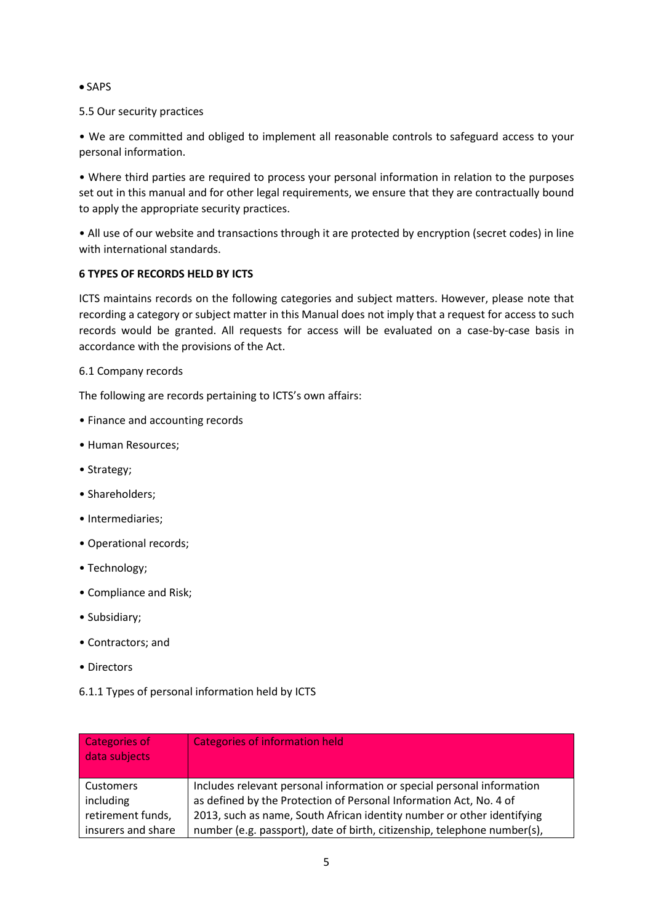• SAPS

# 5.5 Our security practices

• We are committed and obliged to implement all reasonable controls to safeguard access to your personal information.

• Where third parties are required to process your personal information in relation to the purposes set out in this manual and for other legal requirements, we ensure that they are contractually bound to apply the appropriate security practices.

• All use of our website and transactions through it are protected by encryption (secret codes) in line with international standards.

# **6 TYPES OF RECORDS HELD BY ICTS**

ICTS maintains records on the following categories and subject matters. However, please note that recording a category or subject matter in this Manual does not imply that a request for access to such records would be granted. All requests for access will be evaluated on a case-by-case basis in accordance with the provisions of the Act.

# 6.1 Company records

The following are records pertaining to ICTS's own affairs:

- Finance and accounting records
- Human Resources;
- Strategy;
- Shareholders;
- Intermediaries;
- Operational records;
- Technology;
- Compliance and Risk;
- Subsidiary;
- Contractors; and
- Directors
- 6.1.1 Types of personal information held by ICTS

| <b>Categories of</b><br>data subjects                                                       | Categories of information held                                           |
|---------------------------------------------------------------------------------------------|--------------------------------------------------------------------------|
| <b>Customers</b>                                                                            | Includes relevant personal information or special personal information   |
| including                                                                                   | as defined by the Protection of Personal Information Act, No. 4 of       |
| retirement funds,<br>2013, such as name, South African identity number or other identifying |                                                                          |
| insurers and share                                                                          | number (e.g. passport), date of birth, citizenship, telephone number(s), |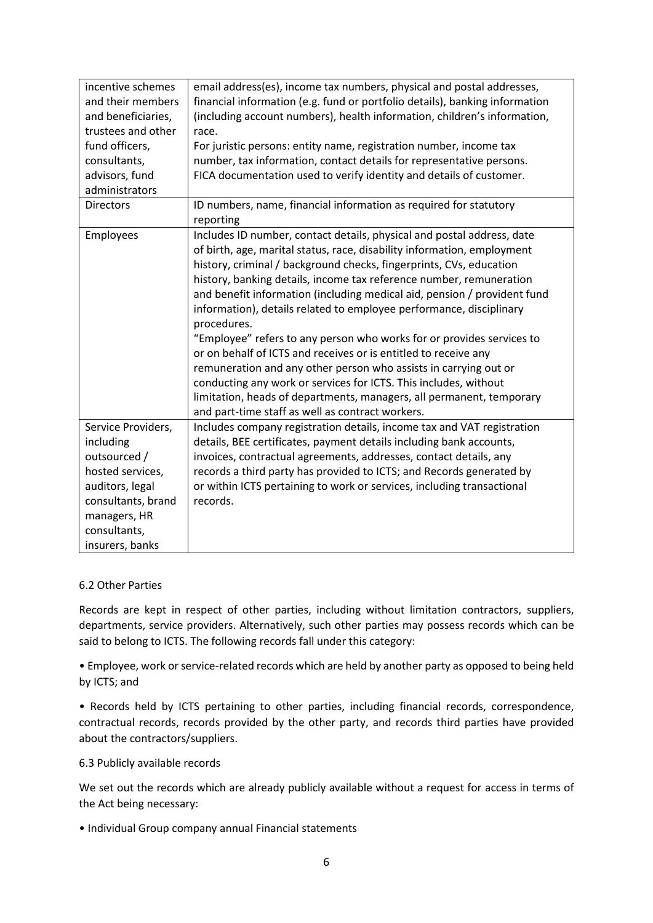| email address(es), income tax numbers, physical and postal addresses,<br>incentive schemes |                                                                             |  |
|--------------------------------------------------------------------------------------------|-----------------------------------------------------------------------------|--|
| and their members                                                                          | financial information (e.g. fund or portfolio details), banking information |  |
| and beneficiaries,                                                                         | (including account numbers), health information, children's information,    |  |
| trustees and other                                                                         | race.                                                                       |  |
| fund officers,                                                                             | For juristic persons: entity name, registration number, income tax          |  |
| consultants,                                                                               | number, tax information, contact details for representative persons.        |  |
| advisors, fund                                                                             | FICA documentation used to verify identity and details of customer.         |  |
| administrators                                                                             |                                                                             |  |
| <b>Directors</b>                                                                           | ID numbers, name, financial information as required for statutory           |  |
|                                                                                            | reporting                                                                   |  |
| Employees                                                                                  | Includes ID number, contact details, physical and postal address, date      |  |
|                                                                                            | of birth, age, marital status, race, disability information, employment     |  |
|                                                                                            | history, criminal / background checks, fingerprints, CVs, education         |  |
|                                                                                            | history, banking details, income tax reference number, remuneration         |  |
|                                                                                            | and benefit information (including medical aid, pension / provident fund    |  |
|                                                                                            | information), details related to employee performance, disciplinary         |  |
| procedures.                                                                                |                                                                             |  |
|                                                                                            | "Employee" refers to any person who works for or provides services to       |  |
|                                                                                            | or on behalf of ICTS and receives or is entitled to receive any             |  |
|                                                                                            | remuneration and any other person who assists in carrying out or            |  |
|                                                                                            | conducting any work or services for ICTS. This includes, without            |  |
|                                                                                            | limitation, heads of departments, managers, all permanent, temporary        |  |
|                                                                                            | and part-time staff as well as contract workers.                            |  |
| Service Providers,                                                                         | Includes company registration details, income tax and VAT registration      |  |
| including                                                                                  | details, BEE certificates, payment details including bank accounts,         |  |
| outsourced /                                                                               | invoices, contractual agreements, addresses, contact details, any           |  |
| hosted services,                                                                           | records a third party has provided to ICTS; and Records generated by        |  |
| auditors, legal                                                                            | or within ICTS pertaining to work or services, including transactional      |  |
| consultants, brand                                                                         | records.                                                                    |  |
| managers, HR                                                                               |                                                                             |  |
| consultants,                                                                               |                                                                             |  |
| insurers, banks                                                                            |                                                                             |  |

### 6.2 Other Parties

Records are kept in respect of other parties, including without limitation contractors, suppliers, departments, service providers. Alternatively, such other parties may possess records which can be said to belong to ICTS. The following records fall under this category:

• Employee, work or service-related records which are held by another party as opposed to being held by ICTS; and

• Records held by ICTS pertaining to other parties, including financial records, correspondence, contractual records, records provided by the other party, and records third parties have provided about the contractors/suppliers.

### 6.3 Publicly available records

We set out the records which are already publicly available without a request for access in terms of the Act being necessary:

• Individual Group company annual Financial statements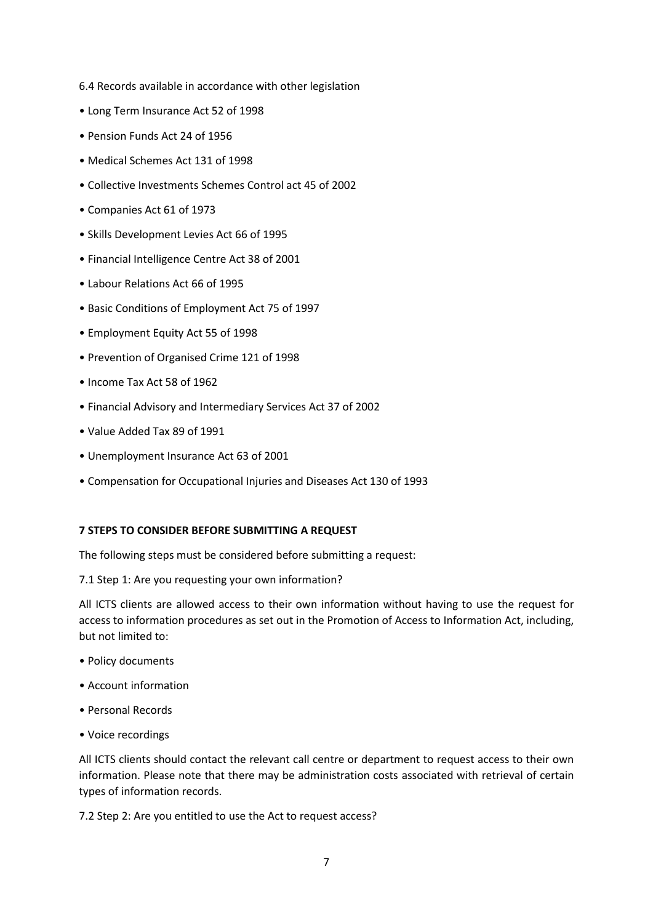- 6.4 Records available in accordance with other legislation
- Long Term Insurance Act 52 of 1998
- Pension Funds Act 24 of 1956
- Medical Schemes Act 131 of 1998
- Collective Investments Schemes Control act 45 of 2002
- Companies Act 61 of 1973
- Skills Development Levies Act 66 of 1995
- Financial Intelligence Centre Act 38 of 2001
- Labour Relations Act 66 of 1995
- Basic Conditions of Employment Act 75 of 1997
- Employment Equity Act 55 of 1998
- Prevention of Organised Crime 121 of 1998
- Income Tax Act 58 of 1962
- Financial Advisory and Intermediary Services Act 37 of 2002
- Value Added Tax 89 of 1991
- Unemployment Insurance Act 63 of 2001
- Compensation for Occupational Injuries and Diseases Act 130 of 1993

### **7 STEPS TO CONSIDER BEFORE SUBMITTING A REQUEST**

The following steps must be considered before submitting a request:

7.1 Step 1: Are you requesting your own information?

All ICTS clients are allowed access to their own information without having to use the request for access to information procedures as set out in the Promotion of Access to Information Act, including, but not limited to:

- Policy documents
- Account information
- Personal Records
- Voice recordings

All ICTS clients should contact the relevant call centre or department to request access to their own information. Please note that there may be administration costs associated with retrieval of certain types of information records.

7.2 Step 2: Are you entitled to use the Act to request access?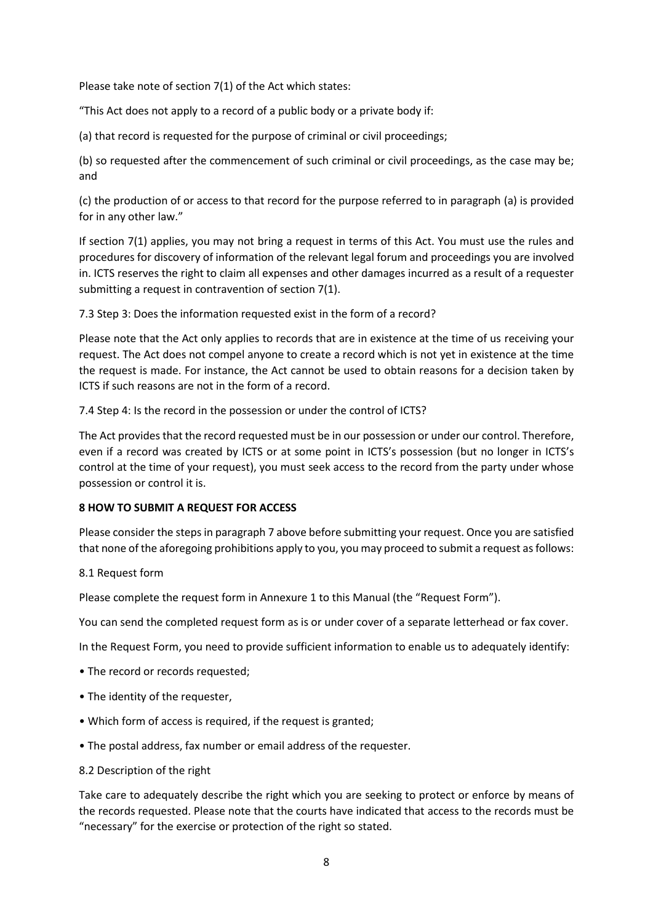Please take note of section 7(1) of the Act which states:

"This Act does not apply to a record of a public body or a private body if:

(a) that record is requested for the purpose of criminal or civil proceedings;

(b) so requested after the commencement of such criminal or civil proceedings, as the case may be; and

(c) the production of or access to that record for the purpose referred to in paragraph (a) is provided for in any other law."

If section 7(1) applies, you may not bring a request in terms of this Act. You must use the rules and procedures for discovery of information of the relevant legal forum and proceedings you are involved in. ICTS reserves the right to claim all expenses and other damages incurred as a result of a requester submitting a request in contravention of section 7(1).

7.3 Step 3: Does the information requested exist in the form of a record?

Please note that the Act only applies to records that are in existence at the time of us receiving your request. The Act does not compel anyone to create a record which is not yet in existence at the time the request is made. For instance, the Act cannot be used to obtain reasons for a decision taken by ICTS if such reasons are not in the form of a record.

7.4 Step 4: Is the record in the possession or under the control of ICTS?

The Act provides that the record requested must be in our possession or under our control. Therefore, even if a record was created by ICTS or at some point in ICTS's possession (but no longer in ICTS's control at the time of your request), you must seek access to the record from the party under whose possession or control it is.

### **8 HOW TO SUBMIT A REQUEST FOR ACCESS**

Please consider the steps in paragraph 7 above before submitting your request. Once you are satisfied that none of the aforegoing prohibitions apply to you, you may proceed to submit a request as follows:

### 8.1 Request form

Please complete the request form in Annexure 1 to this Manual (the "Request Form").

You can send the completed request form as is or under cover of a separate letterhead or fax cover.

In the Request Form, you need to provide sufficient information to enable us to adequately identify:

- The record or records requested;
- The identity of the requester,
- Which form of access is required, if the request is granted;
- The postal address, fax number or email address of the requester.
- 8.2 Description of the right

Take care to adequately describe the right which you are seeking to protect or enforce by means of the records requested. Please note that the courts have indicated that access to the records must be "necessary" for the exercise or protection of the right so stated.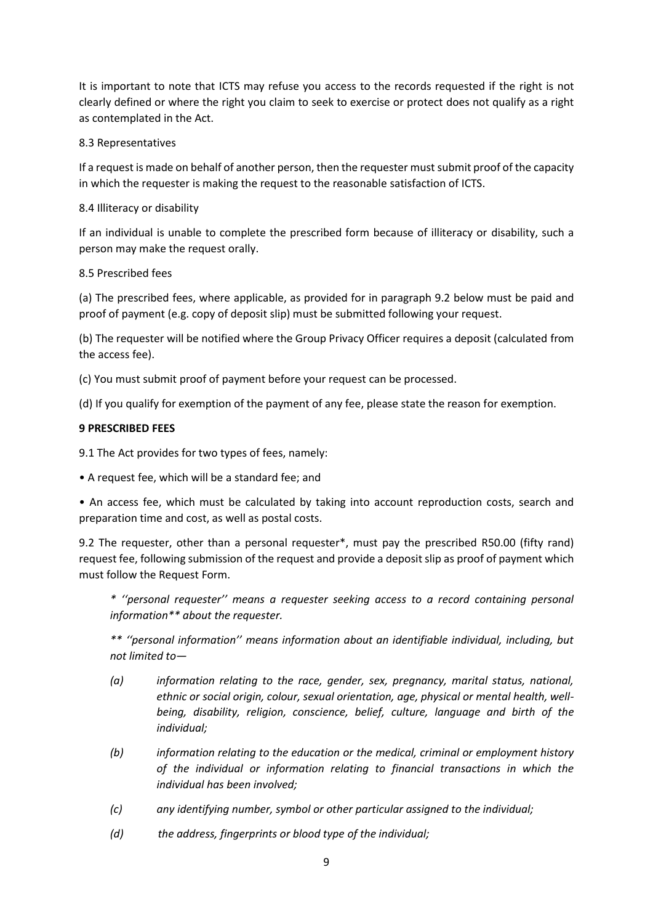It is important to note that ICTS may refuse you access to the records requested if the right is not clearly defined or where the right you claim to seek to exercise or protect does not qualify as a right as contemplated in the Act.

# 8.3 Representatives

If a request is made on behalf of another person, then the requester must submit proof of the capacity in which the requester is making the request to the reasonable satisfaction of ICTS.

# 8.4 Illiteracy or disability

If an individual is unable to complete the prescribed form because of illiteracy or disability, such a person may make the request orally.

# 8.5 Prescribed fees

(a) The prescribed fees, where applicable, as provided for in paragraph 9.2 below must be paid and proof of payment (e.g. copy of deposit slip) must be submitted following your request.

(b) The requester will be notified where the Group Privacy Officer requires a deposit (calculated from the access fee).

(c) You must submit proof of payment before your request can be processed.

(d) If you qualify for exemption of the payment of any fee, please state the reason for exemption.

# **9 PRESCRIBED FEES**

9.1 The Act provides for two types of fees, namely:

• A request fee, which will be a standard fee; and

• An access fee, which must be calculated by taking into account reproduction costs, search and preparation time and cost, as well as postal costs.

9.2 The requester, other than a personal requester\*, must pay the prescribed R50.00 (fifty rand) request fee, following submission of the request and provide a deposit slip as proof of payment which must follow the Request Form.

*\* ''personal requester'' means a requester seeking access to a record containing personal information\*\* about the requester.*

*\*\* ''personal information'' means information about an identifiable individual, including, but not limited to—*

- *(a) information relating to the race, gender, sex, pregnancy, marital status, national, ethnic or social origin, colour, sexual orientation, age, physical or mental health, wellbeing, disability, religion, conscience, belief, culture, language and birth of the individual;*
- *(b) information relating to the education or the medical, criminal or employment history of the individual or information relating to financial transactions in which the individual has been involved;*
- *(c) any identifying number, symbol or other particular assigned to the individual;*
- *(d) the address, fingerprints or blood type of the individual;*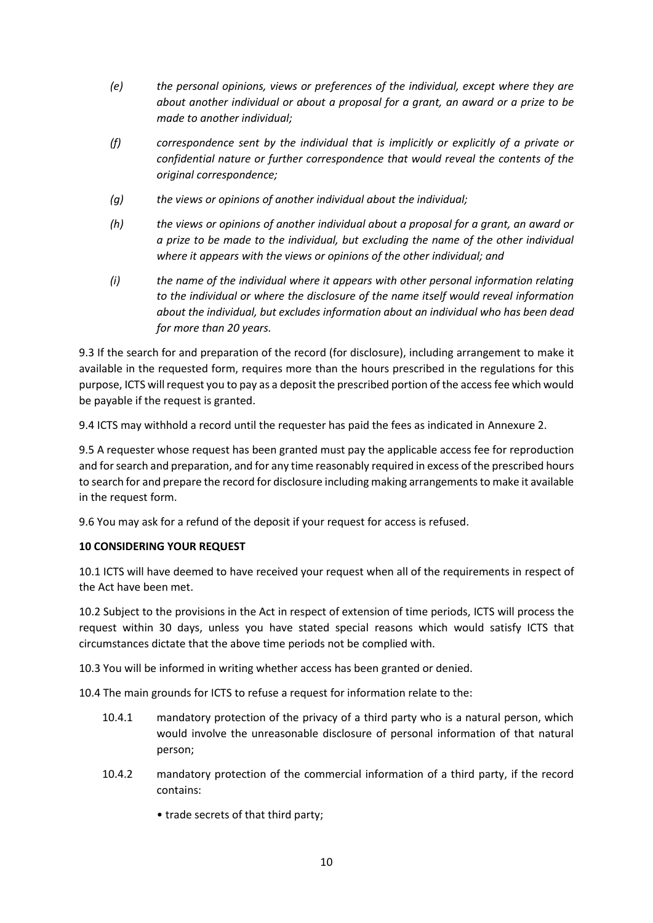- *(e) the personal opinions, views or preferences of the individual, except where they are about another individual or about a proposal for a grant, an award or a prize to be made to another individual;*
- *(f) correspondence sent by the individual that is implicitly or explicitly of a private or confidential nature or further correspondence that would reveal the contents of the original correspondence;*
- *(g) the views or opinions of another individual about the individual;*
- *(h) the views or opinions of another individual about a proposal for a grant, an award or a prize to be made to the individual, but excluding the name of the other individual where it appears with the views or opinions of the other individual; and*
- *(i) the name of the individual where it appears with other personal information relating to the individual or where the disclosure of the name itself would reveal information about the individual, but excludes information about an individual who has been dead for more than 20 years.*

9.3 If the search for and preparation of the record (for disclosure), including arrangement to make it available in the requested form, requires more than the hours prescribed in the regulations for this purpose, ICTS will request you to pay as a deposit the prescribed portion of the access fee which would be payable if the request is granted.

9.4 ICTS may withhold a record until the requester has paid the fees as indicated in Annexure 2.

9.5 A requester whose request has been granted must pay the applicable access fee for reproduction and for search and preparation, and for any time reasonably required in excess of the prescribed hours to search for and prepare the record for disclosure including making arrangements to make it available in the request form.

9.6 You may ask for a refund of the deposit if your request for access is refused.

# **10 CONSIDERING YOUR REQUEST**

10.1 ICTS will have deemed to have received your request when all of the requirements in respect of the Act have been met.

10.2 Subject to the provisions in the Act in respect of extension of time periods, ICTS will process the request within 30 days, unless you have stated special reasons which would satisfy ICTS that circumstances dictate that the above time periods not be complied with.

10.3 You will be informed in writing whether access has been granted or denied.

10.4 The main grounds for ICTS to refuse a request for information relate to the:

- 10.4.1 mandatory protection of the privacy of a third party who is a natural person, which would involve the unreasonable disclosure of personal information of that natural person;
- 10.4.2 mandatory protection of the commercial information of a third party, if the record contains:
	- trade secrets of that third party;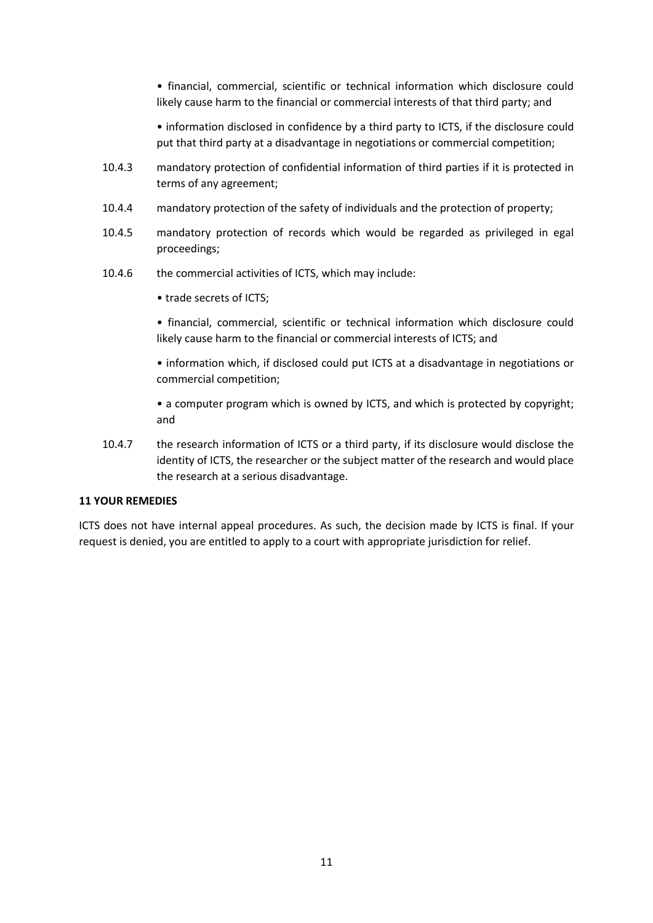• financial, commercial, scientific or technical information which disclosure could likely cause harm to the financial or commercial interests of that third party; and

• information disclosed in confidence by a third party to ICTS, if the disclosure could put that third party at a disadvantage in negotiations or commercial competition;

- 10.4.3 mandatory protection of confidential information of third parties if it is protected in terms of any agreement;
- 10.4.4 mandatory protection of the safety of individuals and the protection of property;
- 10.4.5 mandatory protection of records which would be regarded as privileged in egal proceedings;
- 10.4.6 the commercial activities of ICTS, which may include:
	- trade secrets of ICTS;

• financial, commercial, scientific or technical information which disclosure could likely cause harm to the financial or commercial interests of ICTS; and

• information which, if disclosed could put ICTS at a disadvantage in negotiations or commercial competition;

• a computer program which is owned by ICTS, and which is protected by copyright; and

10.4.7 the research information of ICTS or a third party, if its disclosure would disclose the identity of ICTS, the researcher or the subject matter of the research and would place the research at a serious disadvantage.

# **11 YOUR REMEDIES**

ICTS does not have internal appeal procedures. As such, the decision made by ICTS is final. If your request is denied, you are entitled to apply to a court with appropriate jurisdiction for relief.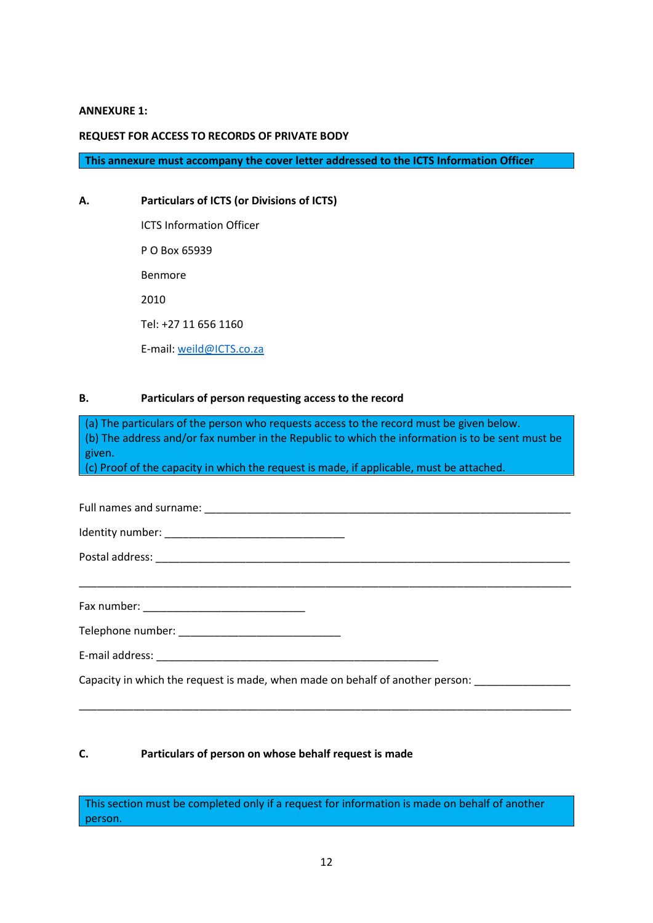#### **ANNEXURE 1:**

#### **REQUEST FOR ACCESS TO RECORDS OF PRIVATE BODY**

**This annexure must accompany the cover letter addressed to the ICTS Information Officer**

**A. Particulars of ICTS (or Divisions of ICTS)** ICTS Information Officer P O Box 65939 Benmore 2010 Tel: +27 11 656 1160 E-mail: [weild@ICTS.co.za](mailto:weild@ICTS.co.za)

### **B. Particulars of person requesting access to the record**

(a) The particulars of the person who requests access to the record must be given below. (b) The address and/or fax number in the Republic to which the information is to be sent must be given.

(c) Proof of the capacity in which the request is made, if applicable, must be attached.

| Full names and surname: |  |
|-------------------------|--|
|                         |  |

\_\_\_\_\_\_\_\_\_\_\_\_\_\_\_\_\_\_\_\_\_\_\_\_\_\_\_\_\_\_\_\_\_\_\_\_\_\_\_\_\_\_\_\_\_\_\_\_\_\_\_\_\_\_\_\_\_\_\_\_\_\_\_\_\_\_\_\_\_\_\_\_\_\_\_\_\_\_\_\_\_\_

\_\_\_\_\_\_\_\_\_\_\_\_\_\_\_\_\_\_\_\_\_\_\_\_\_\_\_\_\_\_\_\_\_\_\_\_\_\_\_\_\_\_\_\_\_\_\_\_\_\_\_\_\_\_\_\_\_\_\_\_\_\_\_\_\_\_\_\_\_\_\_\_\_\_\_\_\_\_\_\_\_\_

Identity number: \_\_\_\_\_\_\_\_\_\_\_\_\_\_\_\_\_\_\_\_\_\_\_\_\_\_\_\_\_\_

Postal address: \_\_\_\_\_\_\_\_\_\_\_\_\_\_\_\_\_\_\_\_\_\_\_\_\_\_\_\_\_\_\_\_\_\_\_\_\_\_\_\_\_\_\_\_\_\_\_\_\_\_\_\_\_\_\_\_\_\_\_\_\_\_\_\_\_\_\_\_\_

Fax number: \_\_\_\_\_\_\_\_\_\_\_\_\_\_\_\_\_\_\_\_\_\_\_\_\_\_\_

Telephone number: \_\_\_\_\_\_\_\_\_\_\_\_\_\_\_\_\_\_\_\_\_\_\_\_\_\_\_

E-mail address: **E-mail address**:

Capacity in which the request is made, when made on behalf of another person:

### **C. Particulars of person on whose behalf request is made**

This section must be completed only if a request for information is made on behalf of another person.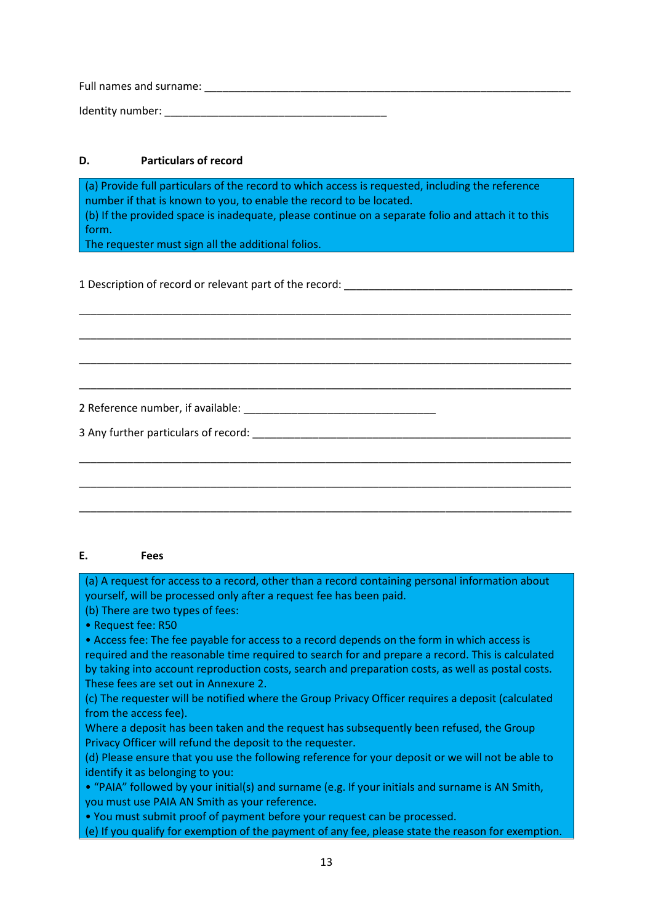Full names and surname: \_\_\_\_\_\_\_\_\_\_\_\_\_\_\_\_\_\_\_\_\_\_\_\_\_\_\_\_\_\_\_\_\_\_\_\_\_\_\_\_\_\_\_\_\_\_\_\_\_\_\_\_\_\_\_\_\_\_\_\_\_

Identity number: \_\_\_\_\_\_\_\_\_\_\_\_\_\_\_\_\_\_\_\_\_\_\_\_\_\_\_\_\_\_\_\_\_\_\_\_\_

# **D. Particulars of record**

(a) Provide full particulars of the record to which access is requested, including the reference number if that is known to you, to enable the record to be located.

(b) If the provided space is inadequate, please continue on a separate folio and attach it to this form.

\_\_\_\_\_\_\_\_\_\_\_\_\_\_\_\_\_\_\_\_\_\_\_\_\_\_\_\_\_\_\_\_\_\_\_\_\_\_\_\_\_\_\_\_\_\_\_\_\_\_\_\_\_\_\_\_\_\_\_\_\_\_\_\_\_\_\_\_\_\_\_\_\_\_\_\_\_\_\_\_\_\_

\_\_\_\_\_\_\_\_\_\_\_\_\_\_\_\_\_\_\_\_\_\_\_\_\_\_\_\_\_\_\_\_\_\_\_\_\_\_\_\_\_\_\_\_\_\_\_\_\_\_\_\_\_\_\_\_\_\_\_\_\_\_\_\_\_\_\_\_\_\_\_\_\_\_\_\_\_\_\_\_\_\_

\_\_\_\_\_\_\_\_\_\_\_\_\_\_\_\_\_\_\_\_\_\_\_\_\_\_\_\_\_\_\_\_\_\_\_\_\_\_\_\_\_\_\_\_\_\_\_\_\_\_\_\_\_\_\_\_\_\_\_\_\_\_\_\_\_\_\_\_\_\_\_\_\_\_\_\_\_\_\_\_\_\_

\_\_\_\_\_\_\_\_\_\_\_\_\_\_\_\_\_\_\_\_\_\_\_\_\_\_\_\_\_\_\_\_\_\_\_\_\_\_\_\_\_\_\_\_\_\_\_\_\_\_\_\_\_\_\_\_\_\_\_\_\_\_\_\_\_\_\_\_\_\_\_\_\_\_\_\_\_\_\_\_\_\_

\_\_\_\_\_\_\_\_\_\_\_\_\_\_\_\_\_\_\_\_\_\_\_\_\_\_\_\_\_\_\_\_\_\_\_\_\_\_\_\_\_\_\_\_\_\_\_\_\_\_\_\_\_\_\_\_\_\_\_\_\_\_\_\_\_\_\_\_\_\_\_\_\_\_\_\_\_\_\_\_\_\_

\_\_\_\_\_\_\_\_\_\_\_\_\_\_\_\_\_\_\_\_\_\_\_\_\_\_\_\_\_\_\_\_\_\_\_\_\_\_\_\_\_\_\_\_\_\_\_\_\_\_\_\_\_\_\_\_\_\_\_\_\_\_\_\_\_\_\_\_\_\_\_\_\_\_\_\_\_\_\_\_\_\_

\_\_\_\_\_\_\_\_\_\_\_\_\_\_\_\_\_\_\_\_\_\_\_\_\_\_\_\_\_\_\_\_\_\_\_\_\_\_\_\_\_\_\_\_\_\_\_\_\_\_\_\_\_\_\_\_\_\_\_\_\_\_\_\_\_\_\_\_\_\_\_\_\_\_\_\_\_\_\_\_\_\_

The requester must sign all the additional folios.

1 Description of record or relevant part of the record:

2 Reference number, if available: \_\_\_\_\_\_\_\_\_\_\_\_\_\_\_\_\_\_\_\_\_\_\_\_\_\_\_\_\_\_\_\_

3 Any further particulars of record:  $\blacksquare$ 

### **E. Fees**

(a) A request for access to a record, other than a record containing personal information about yourself, will be processed only after a request fee has been paid.

(b) There are two types of fees:

• Request fee: R50

• Access fee: The fee payable for access to a record depends on the form in which access is required and the reasonable time required to search for and prepare a record. This is calculated by taking into account reproduction costs, search and preparation costs, as well as postal costs. These fees are set out in Annexure 2.

(c) The requester will be notified where the Group Privacy Officer requires a deposit (calculated from the access fee).

Where a deposit has been taken and the request has subsequently been refused, the Group Privacy Officer will refund the deposit to the requester.

(d) Please ensure that you use the following reference for your deposit or we will not be able to identify it as belonging to you:

• "PAIA" followed by your initial(s) and surname (e.g. If your initials and surname is AN Smith, you must use PAIA AN Smith as your reference.

• You must submit proof of payment before your request can be processed.

(e) If you qualify for exemption of the payment of any fee, please state the reason for exemption.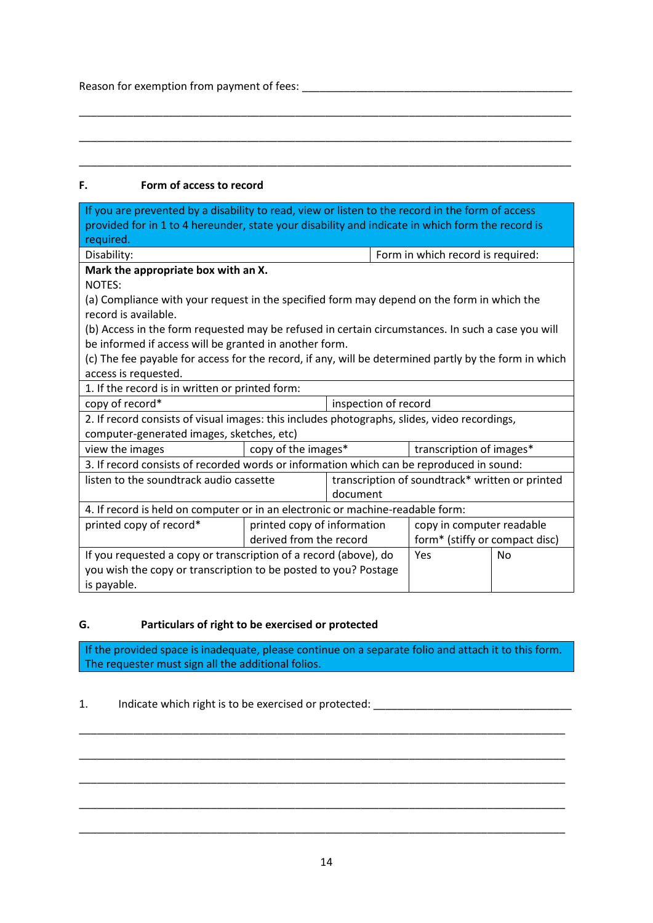Reason for exemption from payment of fees: \_\_\_\_\_\_\_\_\_\_\_\_\_\_\_\_\_\_\_\_\_\_\_\_\_\_\_\_\_\_\_\_\_\_\_\_\_\_\_\_\_\_\_\_\_

# **F. Form of access to record**

| If you are prevented by a disability to read, view or listen to the record in the form of access<br>provided for in 1 to 4 hereunder, state your disability and indicate in which form the record is<br>required. |                                                                                              |                      |                                                 |                                |  |
|-------------------------------------------------------------------------------------------------------------------------------------------------------------------------------------------------------------------|----------------------------------------------------------------------------------------------|----------------------|-------------------------------------------------|--------------------------------|--|
| Disability:                                                                                                                                                                                                       |                                                                                              |                      | Form in which record is required:               |                                |  |
| Mark the appropriate box with an X.                                                                                                                                                                               |                                                                                              |                      |                                                 |                                |  |
| NOTES:                                                                                                                                                                                                            |                                                                                              |                      |                                                 |                                |  |
| (a) Compliance with your request in the specified form may depend on the form in which the<br>record is available.                                                                                                |                                                                                              |                      |                                                 |                                |  |
| (b) Access in the form requested may be refused in certain circumstances. In such a case you will                                                                                                                 |                                                                                              |                      |                                                 |                                |  |
| be informed if access will be granted in another form.                                                                                                                                                            |                                                                                              |                      |                                                 |                                |  |
| (c) The fee payable for access for the record, if any, will be determined partly by the form in which                                                                                                             |                                                                                              |                      |                                                 |                                |  |
| access is requested.                                                                                                                                                                                              |                                                                                              |                      |                                                 |                                |  |
| 1. If the record is in written or printed form:                                                                                                                                                                   |                                                                                              |                      |                                                 |                                |  |
| copy of record*                                                                                                                                                                                                   |                                                                                              | inspection of record |                                                 |                                |  |
|                                                                                                                                                                                                                   | 2. If record consists of visual images: this includes photographs, slides, video recordings, |                      |                                                 |                                |  |
| computer-generated images, sketches, etc)                                                                                                                                                                         |                                                                                              |                      |                                                 |                                |  |
| view the images                                                                                                                                                                                                   | copy of the images*                                                                          |                      |                                                 | transcription of images*       |  |
| 3. If record consists of recorded words or information which can be reproduced in sound:                                                                                                                          |                                                                                              |                      |                                                 |                                |  |
| listen to the soundtrack audio cassette<br>document                                                                                                                                                               |                                                                                              |                      | transcription of soundtrack* written or printed |                                |  |
| 4. If record is held on computer or in an electronic or machine-readable form:                                                                                                                                    |                                                                                              |                      |                                                 |                                |  |
| printed copy of record*<br>printed copy of information                                                                                                                                                            |                                                                                              |                      | copy in computer readable                       |                                |  |
|                                                                                                                                                                                                                   | derived from the record                                                                      |                      |                                                 | form* (stiffy or compact disc) |  |
| If you requested a copy or transcription of a record (above), do                                                                                                                                                  |                                                                                              | Yes                  | No                                              |                                |  |
| you wish the copy or transcription to be posted to you? Postage                                                                                                                                                   |                                                                                              |                      |                                                 |                                |  |
| is payable.                                                                                                                                                                                                       |                                                                                              |                      |                                                 |                                |  |

\_\_\_\_\_\_\_\_\_\_\_\_\_\_\_\_\_\_\_\_\_\_\_\_\_\_\_\_\_\_\_\_\_\_\_\_\_\_\_\_\_\_\_\_\_\_\_\_\_\_\_\_\_\_\_\_\_\_\_\_\_\_\_\_\_\_\_\_\_\_\_\_\_\_\_\_\_\_\_\_\_\_

\_\_\_\_\_\_\_\_\_\_\_\_\_\_\_\_\_\_\_\_\_\_\_\_\_\_\_\_\_\_\_\_\_\_\_\_\_\_\_\_\_\_\_\_\_\_\_\_\_\_\_\_\_\_\_\_\_\_\_\_\_\_\_\_\_\_\_\_\_\_\_\_\_\_\_\_\_\_\_\_\_\_

\_\_\_\_\_\_\_\_\_\_\_\_\_\_\_\_\_\_\_\_\_\_\_\_\_\_\_\_\_\_\_\_\_\_\_\_\_\_\_\_\_\_\_\_\_\_\_\_\_\_\_\_\_\_\_\_\_\_\_\_\_\_\_\_\_\_\_\_\_\_\_\_\_\_\_\_\_\_\_\_\_\_

# **G. Particulars of right to be exercised or protected**

If the provided space is inadequate, please continue on a separate folio and attach it to this form. The requester must sign all the additional folios.

\_\_\_\_\_\_\_\_\_\_\_\_\_\_\_\_\_\_\_\_\_\_\_\_\_\_\_\_\_\_\_\_\_\_\_\_\_\_\_\_\_\_\_\_\_\_\_\_\_\_\_\_\_\_\_\_\_\_\_\_\_\_\_\_\_\_\_\_\_\_\_\_\_\_\_\_\_\_\_\_\_

\_\_\_\_\_\_\_\_\_\_\_\_\_\_\_\_\_\_\_\_\_\_\_\_\_\_\_\_\_\_\_\_\_\_\_\_\_\_\_\_\_\_\_\_\_\_\_\_\_\_\_\_\_\_\_\_\_\_\_\_\_\_\_\_\_\_\_\_\_\_\_\_\_\_\_\_\_\_\_\_\_

\_\_\_\_\_\_\_\_\_\_\_\_\_\_\_\_\_\_\_\_\_\_\_\_\_\_\_\_\_\_\_\_\_\_\_\_\_\_\_\_\_\_\_\_\_\_\_\_\_\_\_\_\_\_\_\_\_\_\_\_\_\_\_\_\_\_\_\_\_\_\_\_\_\_\_\_\_\_\_\_\_

\_\_\_\_\_\_\_\_\_\_\_\_\_\_\_\_\_\_\_\_\_\_\_\_\_\_\_\_\_\_\_\_\_\_\_\_\_\_\_\_\_\_\_\_\_\_\_\_\_\_\_\_\_\_\_\_\_\_\_\_\_\_\_\_\_\_\_\_\_\_\_\_\_\_\_\_\_\_\_\_\_

\_\_\_\_\_\_\_\_\_\_\_\_\_\_\_\_\_\_\_\_\_\_\_\_\_\_\_\_\_\_\_\_\_\_\_\_\_\_\_\_\_\_\_\_\_\_\_\_\_\_\_\_\_\_\_\_\_\_\_\_\_\_\_\_\_\_\_\_\_\_\_\_\_\_\_\_\_\_\_\_\_

# 1. Indicate which right is to be exercised or protected: \_\_\_\_\_\_\_\_\_\_\_\_\_\_\_\_\_\_\_\_\_\_\_\_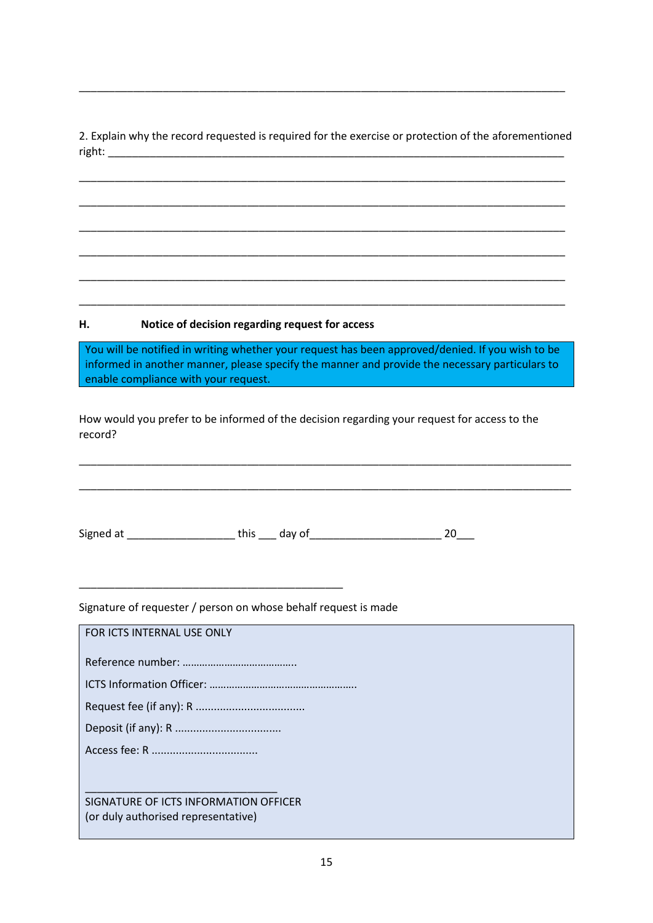2. Explain why the record requested is required for the exercise or protection of the aforementioned right:

\_\_\_\_\_\_\_\_\_\_\_\_\_\_\_\_\_\_\_\_\_\_\_\_\_\_\_\_\_\_\_\_\_\_\_\_\_\_\_\_\_\_\_\_\_\_\_\_\_\_\_\_\_\_\_\_\_\_\_\_\_\_\_\_\_\_\_\_\_\_\_\_\_\_\_\_\_\_\_\_\_

\_\_\_\_\_\_\_\_\_\_\_\_\_\_\_\_\_\_\_\_\_\_\_\_\_\_\_\_\_\_\_\_\_\_\_\_\_\_\_\_\_\_\_\_\_\_\_\_\_\_\_\_\_\_\_\_\_\_\_\_\_\_\_\_\_\_\_\_\_\_\_\_\_\_\_\_\_\_\_\_\_

\_\_\_\_\_\_\_\_\_\_\_\_\_\_\_\_\_\_\_\_\_\_\_\_\_\_\_\_\_\_\_\_\_\_\_\_\_\_\_\_\_\_\_\_\_\_\_\_\_\_\_\_\_\_\_\_\_\_\_\_\_\_\_\_\_\_\_\_\_\_\_\_\_\_\_\_\_\_\_\_\_

\_\_\_\_\_\_\_\_\_\_\_\_\_\_\_\_\_\_\_\_\_\_\_\_\_\_\_\_\_\_\_\_\_\_\_\_\_\_\_\_\_\_\_\_\_\_\_\_\_\_\_\_\_\_\_\_\_\_\_\_\_\_\_\_\_\_\_\_\_\_\_\_\_\_\_\_\_\_\_\_\_

\_\_\_\_\_\_\_\_\_\_\_\_\_\_\_\_\_\_\_\_\_\_\_\_\_\_\_\_\_\_\_\_\_\_\_\_\_\_\_\_\_\_\_\_\_\_\_\_\_\_\_\_\_\_\_\_\_\_\_\_\_\_\_\_\_\_\_\_\_\_\_\_\_\_\_\_\_\_\_\_\_

\_\_\_\_\_\_\_\_\_\_\_\_\_\_\_\_\_\_\_\_\_\_\_\_\_\_\_\_\_\_\_\_\_\_\_\_\_\_\_\_\_\_\_\_\_\_\_\_\_\_\_\_\_\_\_\_\_\_\_\_\_\_\_\_\_\_\_\_\_\_\_\_\_\_\_\_\_\_\_\_\_

\_\_\_\_\_\_\_\_\_\_\_\_\_\_\_\_\_\_\_\_\_\_\_\_\_\_\_\_\_\_\_\_\_\_\_\_\_\_\_\_\_\_\_\_\_\_\_\_\_\_\_\_\_\_\_\_\_\_\_\_\_\_\_\_\_\_\_\_\_\_\_\_\_\_\_\_\_\_\_\_\_

### **H. Notice of decision regarding request for access**

You will be notified in writing whether your request has been approved/denied. If you wish to be informed in another manner, please specify the manner and provide the necessary particulars to enable compliance with your request.

\_\_\_\_\_\_\_\_\_\_\_\_\_\_\_\_\_\_\_\_\_\_\_\_\_\_\_\_\_\_\_\_\_\_\_\_\_\_\_\_\_\_\_\_\_\_\_\_\_\_\_\_\_\_\_\_\_\_\_\_\_\_\_\_\_\_\_\_\_\_\_\_\_\_\_\_\_\_\_\_\_\_

\_\_\_\_\_\_\_\_\_\_\_\_\_\_\_\_\_\_\_\_\_\_\_\_\_\_\_\_\_\_\_\_\_\_\_\_\_\_\_\_\_\_\_\_\_\_\_\_\_\_\_\_\_\_\_\_\_\_\_\_\_\_\_\_\_\_\_\_\_\_\_\_\_\_\_\_\_\_\_\_\_\_

How would you prefer to be informed of the decision regarding your request for access to the record?

Signed at \_\_\_\_\_\_\_\_\_\_\_\_\_\_\_\_\_\_\_\_\_\_\_\_ this \_\_\_\_ day of \_\_\_\_\_\_\_\_\_\_\_\_\_\_\_\_\_\_\_\_\_\_\_\_\_\_\_\_ 20\_\_\_

Signature of requester / person on whose behalf request is made

\_\_\_\_\_\_\_\_\_\_\_\_\_\_\_\_\_\_\_\_\_\_\_\_\_\_\_\_\_\_\_\_\_\_\_\_\_\_\_\_\_\_\_\_

| FOR ICTS INTERNAL USE ONLY            |
|---------------------------------------|
|                                       |
|                                       |
|                                       |
|                                       |
|                                       |
|                                       |
| SIGNATURE OF ICTS INFORMATION OFFICER |
| (or duly authorised representative)   |
|                                       |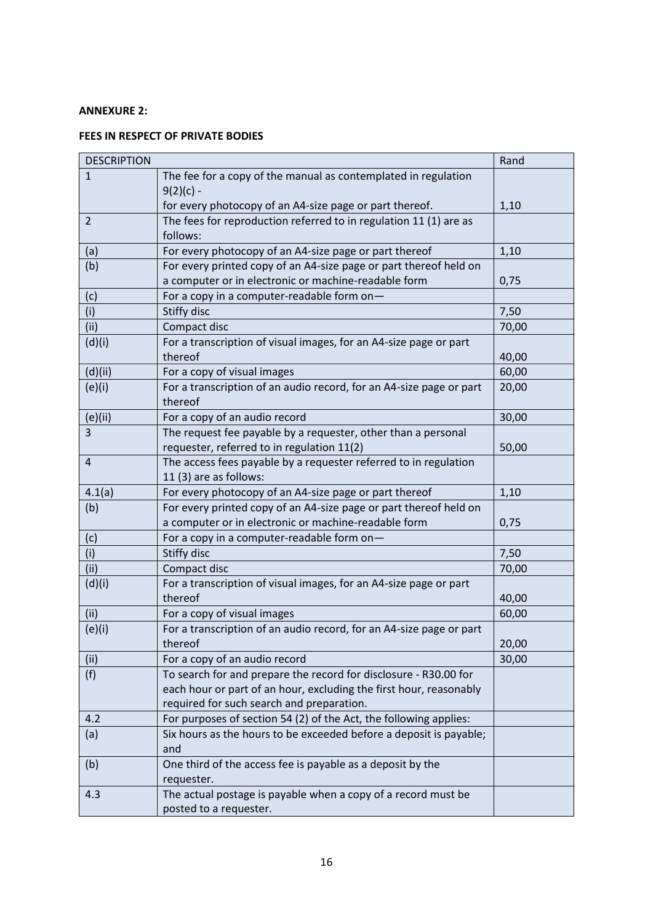### **ANNEXURE 2:**

# **FEES IN RESPECT OF PRIVATE BODIES**

| <b>DESCRIPTION</b> |                                                                     | Rand  |
|--------------------|---------------------------------------------------------------------|-------|
| $\mathbf{1}$       | The fee for a copy of the manual as contemplated in regulation      |       |
|                    | $9(2)(c)$ -                                                         |       |
|                    | for every photocopy of an A4-size page or part thereof.             | 1,10  |
| $\overline{2}$     | The fees for reproduction referred to in regulation 11 (1) are as   |       |
|                    | follows:                                                            |       |
| (a)                | For every photocopy of an A4-size page or part thereof              | 1,10  |
| (b)                | For every printed copy of an A4-size page or part thereof held on   |       |
|                    | a computer or in electronic or machine-readable form                | 0,75  |
| (c)                | For a copy in a computer-readable form on-                          |       |
| (i)                | <b>Stiffy disc</b>                                                  | 7,50  |
| (ii)               | Compact disc                                                        | 70,00 |
| (d)(i)             | For a transcription of visual images, for an A4-size page or part   |       |
|                    | thereof                                                             | 40,00 |
| (d)(ii)            | For a copy of visual images                                         | 60,00 |
| (e)(i)             | For a transcription of an audio record, for an A4-size page or part | 20,00 |
|                    | thereof                                                             |       |
| (e)(ii)            | For a copy of an audio record                                       | 30,00 |
| 3                  | The request fee payable by a requester, other than a personal       |       |
|                    | requester, referred to in regulation 11(2)                          | 50,00 |
| $\overline{4}$     | The access fees payable by a requester referred to in regulation    |       |
|                    | 11 (3) are as follows:                                              |       |
| 4.1(a)             | For every photocopy of an A4-size page or part thereof              | 1,10  |
| (b)                | For every printed copy of an A4-size page or part thereof held on   |       |
|                    | a computer or in electronic or machine-readable form                | 0,75  |
| (c)                | For a copy in a computer-readable form on-                          |       |
| (i)                | Stiffy disc                                                         | 7,50  |
| (ii)               | Compact disc                                                        | 70,00 |
| (d)(i)             | For a transcription of visual images, for an A4-size page or part   |       |
|                    | thereof                                                             | 40,00 |
| (ii)               | For a copy of visual images                                         | 60,00 |
| (e)(i)             | For a transcription of an audio record, for an A4-size page or part |       |
|                    | thereof                                                             | 20,00 |
| (ii)               | For a copy of an audio record                                       | 30,00 |
| (f)                | To search for and prepare the record for disclosure - R30.00 for    |       |
|                    | each hour or part of an hour, excluding the first hour, reasonably  |       |
|                    | required for such search and preparation.                           |       |
| 4.2                | For purposes of section 54 (2) of the Act, the following applies:   |       |
| (a)                | Six hours as the hours to be exceeded before a deposit is payable;  |       |
|                    | and                                                                 |       |
| (b)                | One third of the access fee is payable as a deposit by the          |       |
|                    | requester.                                                          |       |
| 4.3                | The actual postage is payable when a copy of a record must be       |       |
|                    | posted to a requester.                                              |       |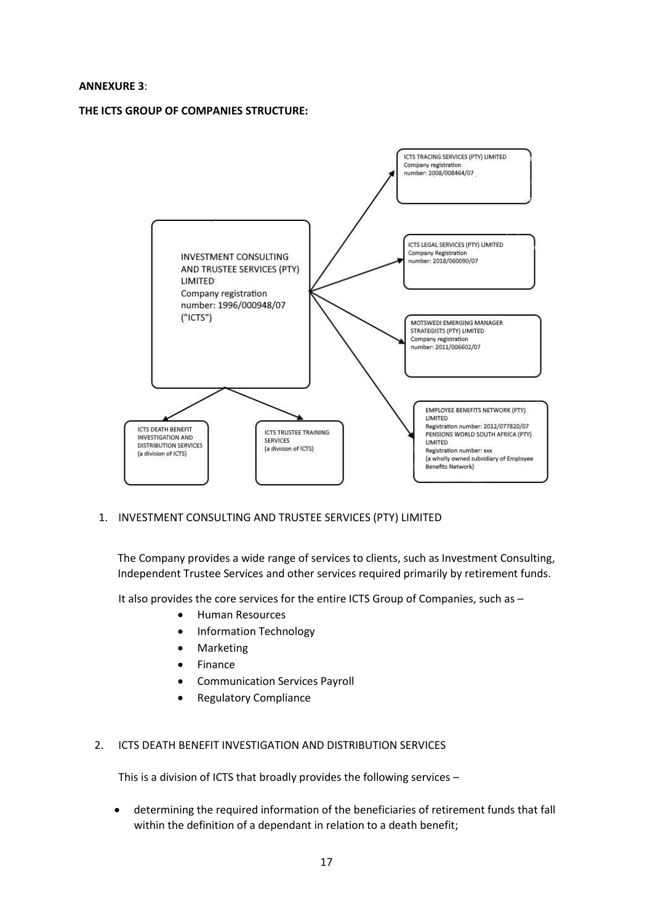#### **ANNEXURE 3**:

**THE ICTS GROUP OF COMPANIES STRUCTURE:**



1. INVESTMENT CONSULTING AND TRUSTEE SERVICES (PTY) LIMITED

The Company provides a wide range of services to clients, such as Investment Consulting, Independent Trustee Services and other services required primarily by retirement funds.

It also provides the core services for the entire ICTS Group of Companies, such as –

- Human Resources
- Information Technology
- Marketing
- **Finance**
- Communication Services Payroll
- Regulatory Compliance

### 2. ICTS DEATH BENEFIT INVESTIGATION AND DISTRIBUTION SERVICES

This is a division of ICTS that broadly provides the following services –

• determining the required information of the beneficiaries of retirement funds that fall within the definition of a dependant in relation to a death benefit;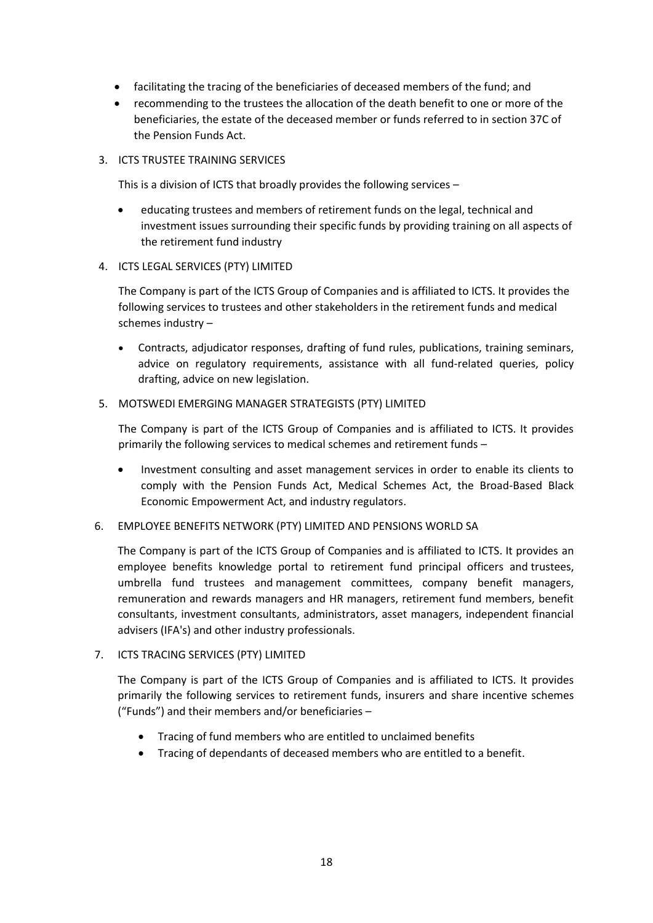- facilitating the tracing of the beneficiaries of deceased members of the fund; and
- recommending to the trustees the allocation of the death benefit to one or more of the beneficiaries, the estate of the deceased member or funds referred to in section 37C of the Pension Funds Act.

#### 3. ICTS TRUSTEE TRAINING SERVICES

This is a division of ICTS that broadly provides the following services –

- educating trustees and members of retirement funds on the legal, technical and investment issues surrounding their specific funds by providing training on all aspects of the retirement fund industry
- 4. ICTS LEGAL SERVICES (PTY) LIMITED

The Company is part of the ICTS Group of Companies and is affiliated to ICTS. It provides the following services to trustees and other stakeholders in the retirement funds and medical schemes industry –

• Contracts, adjudicator responses, drafting of fund rules, publications, training seminars, advice on regulatory requirements, assistance with all fund-related queries, policy drafting, advice on new legislation.

#### 5. MOTSWEDI EMERGING MANAGER STRATEGISTS (PTY) LIMITED

The Company is part of the ICTS Group of Companies and is affiliated to ICTS. It provides primarily the following services to medical schemes and retirement funds –

- Investment consulting and asset management services in order to enable its clients to comply with the Pension Funds Act, Medical Schemes Act, the Broad-Based Black Economic Empowerment Act, and industry regulators.
- 6. EMPLOYEE BENEFITS NETWORK (PTY) LIMITED AND PENSIONS WORLD SA

The Company is part of the ICTS Group of Companies and is affiliated to ICTS. It provides an employee benefits knowledge portal to retirement fund principal officers and trustees, umbrella fund trustees and management committees, company benefit managers, remuneration and rewards managers and HR managers, retirement fund members, benefit consultants, investment consultants, administrators, asset managers, independent financial advisers (IFA's) and other industry professionals.

7. ICTS TRACING SERVICES (PTY) LIMITED

The Company is part of the ICTS Group of Companies and is affiliated to ICTS. It provides primarily the following services to retirement funds, insurers and share incentive schemes ("Funds") and their members and/or beneficiaries –

- Tracing of fund members who are entitled to unclaimed benefits
- Tracing of dependants of deceased members who are entitled to a benefit.